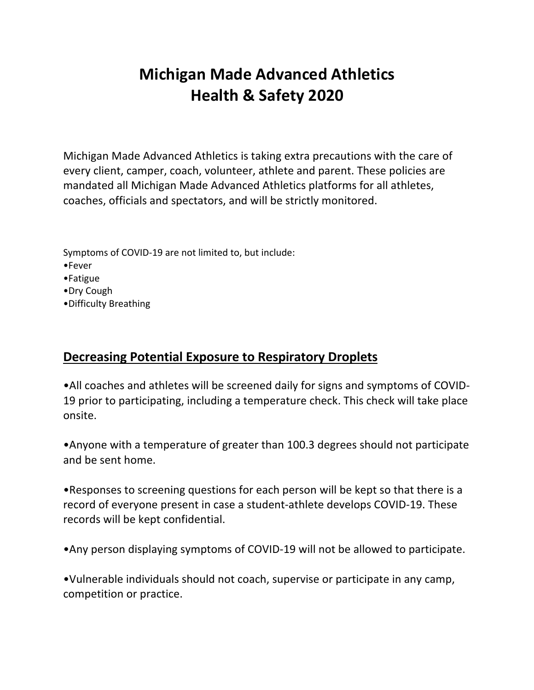## **Michigan Made Advanced Athletics Health & Safety 2020**

Michigan Made Advanced Athletics is taking extra precautions with the care of every client, camper, coach, volunteer, athlete and parent. These policies are mandated all Michigan Made Advanced Athletics platforms for all athletes, coaches, officials and spectators, and will be strictly monitored.

Symptoms of COVID-19 are not limited to, but include:

•Fever

•Fatigue

•Dry Cough

•Difficulty Breathing

## **Decreasing Potential Exposure to Respiratory Droplets**

•All coaches and athletes will be screened daily for signs and symptoms of COVID-19 prior to participating, including a temperature check. This check will take place onsite.

•Anyone with a temperature of greater than 100.3 degrees should not participate and be sent home.

•Responses to screening questions for each person will be kept so that there is a record of everyone present in case a student-athlete develops COVID-19. These records will be kept confidential.

•Any person displaying symptoms of COVID-19 will not be allowed to participate.

•Vulnerable individuals should not coach, supervise or participate in any camp, competition or practice.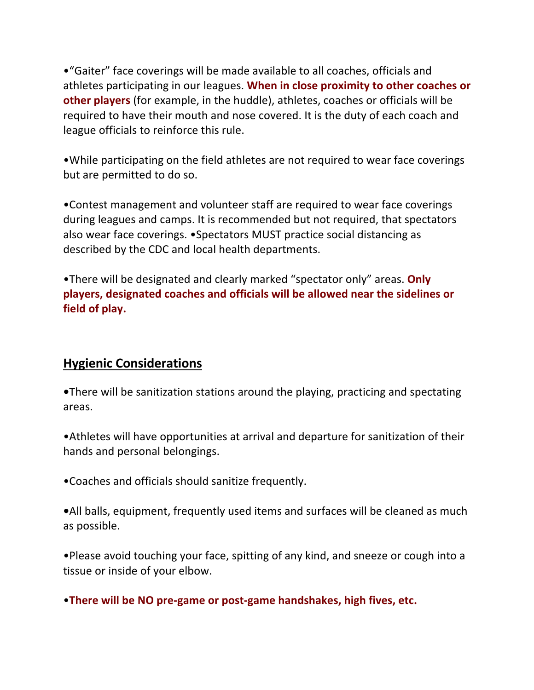•"Gaiter" face coverings will be made available to all coaches, officials and athletes participating in our leagues. **When in close proximity to other coaches or other players** (for example, in the huddle), athletes, coaches or officials will be required to have their mouth and nose covered. It is the duty of each coach and league officials to reinforce this rule.

•While participating on the field athletes are not required to wear face coverings but are permitted to do so.

•Contest management and volunteer staff are required to wear face coverings during leagues and camps. It is recommended but not required, that spectators also wear face coverings. •Spectators MUST practice social distancing as described by the CDC and local health departments.

•There will be designated and clearly marked "spectator only" areas. **Only players, designated coaches and officials will be allowed near the sidelines or field of play.**

## **Hygienic Considerations**

**•**There will be sanitization stations around the playing, practicing and spectating areas.

•Athletes will have opportunities at arrival and departure for sanitization of their hands and personal belongings.

•Coaches and officials should sanitize frequently.

**•**All balls, equipment, frequently used items and surfaces will be cleaned as much as possible.

•Please avoid touching your face, spitting of any kind, and sneeze or cough into a tissue or inside of your elbow.

•**There will be NO pre-game or post-game handshakes, high fives, etc.**